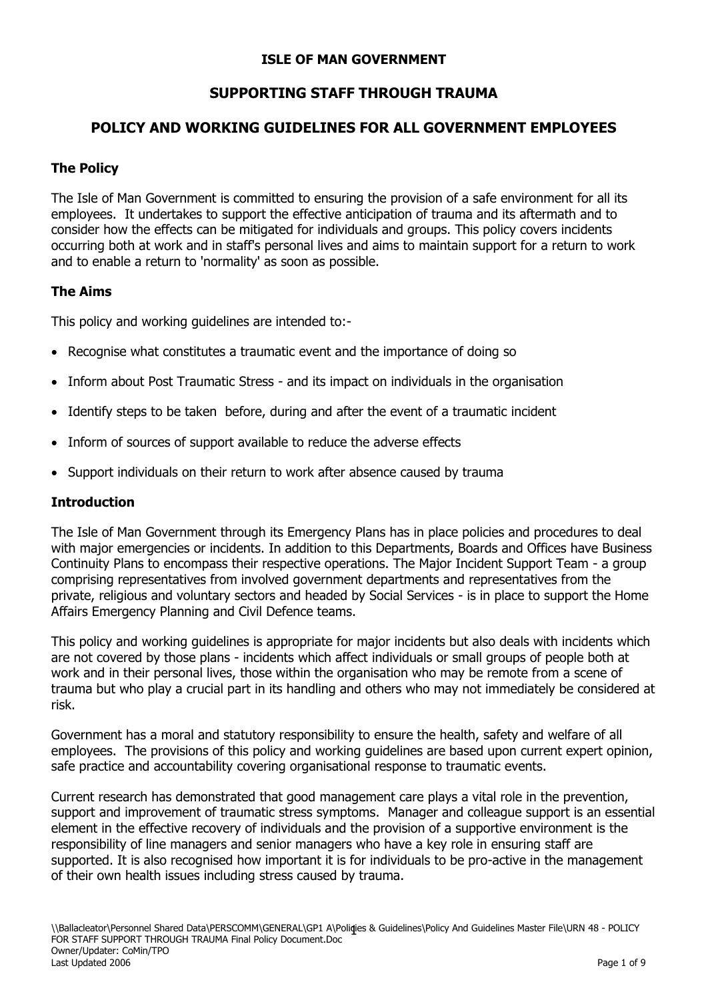## **ISLE OF MAN GOVERNMENT**

# **SUPPORTING STAFF THROUGH TRAUMA**

## **POLICY AND WORKING GUIDELINES FOR ALL GOVERNMENT EMPLOYEES**

## **The Policy**

The Isle of Man Government is committed to ensuring the provision of a safe environment for all its employees. It undertakes to support the effective anticipation of trauma and its aftermath and to consider how the effects can be mitigated for individuals and groups. This policy covers incidents occurring both at work and in staff's personal lives and aims to maintain support for a return to work and to enable a return to 'normality' as soon as possible.

## **The Aims**

This policy and working guidelines are intended to:-

- Recognise what constitutes a traumatic event and the importance of doing so
- Inform about Post Traumatic Stress and its impact on individuals in the organisation
- Identify steps to be taken before, during and after the event of a traumatic incident
- Inform of sources of support available to reduce the adverse effects
- Support individuals on their return to work after absence caused by trauma

#### **Introduction**

The Isle of Man Government through its Emergency Plans has in place policies and procedures to deal with major emergencies or incidents. In addition to this Departments, Boards and Offices have Business Continuity Plans to encompass their respective operations. The Major Incident Support Team - a group comprising representatives from involved government departments and representatives from the private, religious and voluntary sectors and headed by Social Services - is in place to support the Home Affairs Emergency Planning and Civil Defence teams.

This policy and working guidelines is appropriate for major incidents but also deals with incidents which are not covered by those plans - incidents which affect individuals or small groups of people both at work and in their personal lives, those within the organisation who may be remote from a scene of trauma but who play a crucial part in its handling and others who may not immediately be considered at risk.

Government has a moral and statutory responsibility to ensure the health, safety and welfare of all employees. The provisions of this policy and working guidelines are based upon current expert opinion, safe practice and accountability covering organisational response to traumatic events.

Current research has demonstrated that good management care plays a vital role in the prevention, support and improvement of traumatic stress symptoms. Manager and colleague support is an essential element in the effective recovery of individuals and the provision of a supportive environment is the responsibility of line managers and senior managers who have a key role in ensuring staff are supported. It is also recognised how important it is for individuals to be pro-active in the management of their own health issues including stress caused by trauma.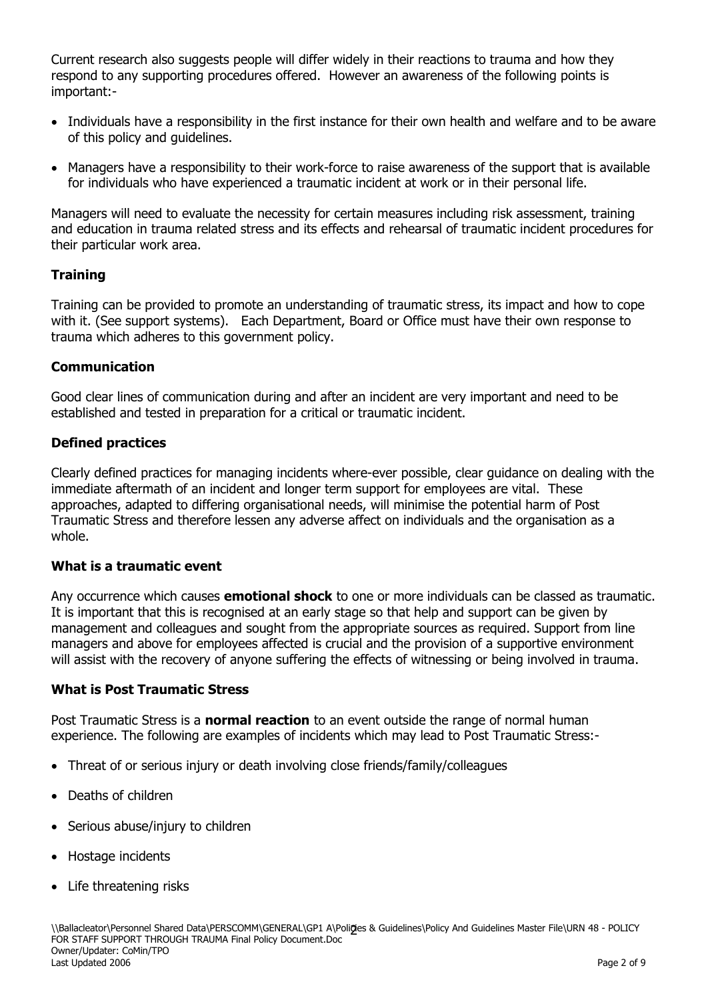Current research also suggests people will differ widely in their reactions to trauma and how they respond to any supporting procedures offered. However an awareness of the following points is important:-

- Individuals have a responsibility in the first instance for their own health and welfare and to be aware of this policy and guidelines.
- Managers have a responsibility to their work-force to raise awareness of the support that is available for individuals who have experienced a traumatic incident at work or in their personal life.

Managers will need to evaluate the necessity for certain measures including risk assessment, training and education in trauma related stress and its effects and rehearsal of traumatic incident procedures for their particular work area.

## **Training**

Training can be provided to promote an understanding of traumatic stress, its impact and how to cope with it. (See support systems). Each Department, Board or Office must have their own response to trauma which adheres to this government policy.

# **Communication**

Good clear lines of communication during and after an incident are very important and need to be established and tested in preparation for a critical or traumatic incident.

# **Defined practices**

Clearly defined practices for managing incidents where-ever possible, clear guidance on dealing with the immediate aftermath of an incident and longer term support for employees are vital. These approaches, adapted to differing organisational needs, will minimise the potential harm of Post Traumatic Stress and therefore lessen any adverse affect on individuals and the organisation as a whole.

## **What is a traumatic event**

Any occurrence which causes **emotional shock** to one or more individuals can be classed as traumatic. It is important that this is recognised at an early stage so that help and support can be given by management and colleagues and sought from the appropriate sources as required. Support from line managers and above for employees affected is crucial and the provision of a supportive environment will assist with the recovery of anyone suffering the effects of witnessing or being involved in trauma.

## **What is Post Traumatic Stress**

Post Traumatic Stress is a **normal reaction** to an event outside the range of normal human experience. The following are examples of incidents which may lead to Post Traumatic Stress:-

- Threat of or serious injury or death involving close friends/family/colleagues
- Deaths of children
- Serious abuse/injury to children
- Hostage incidents
- Life threatening risks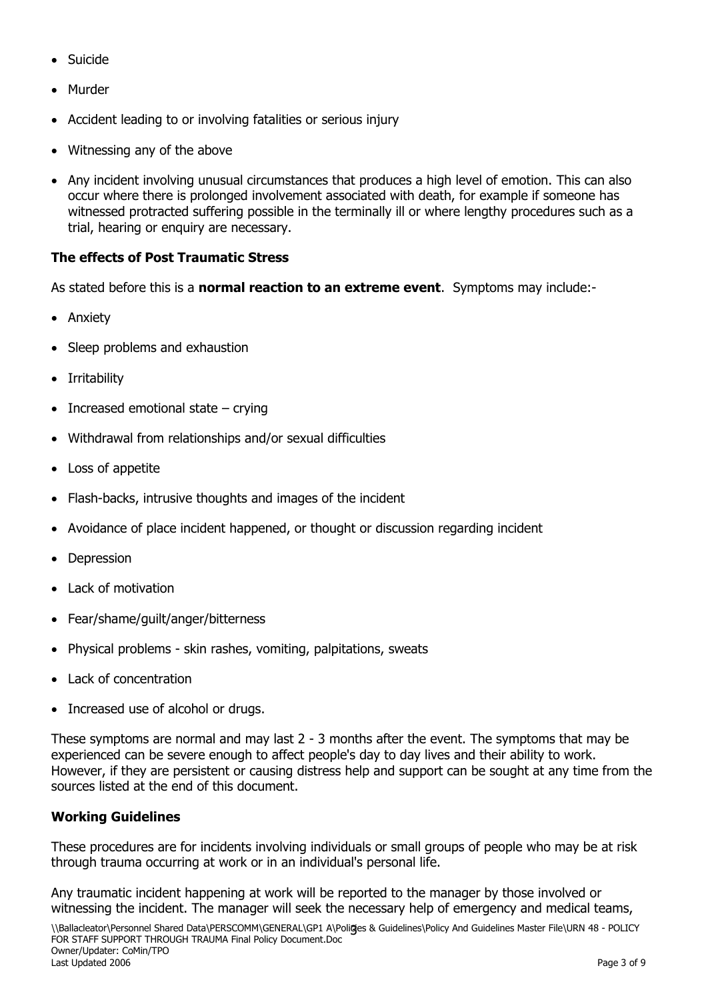- Suicide
- Murder
- Accident leading to or involving fatalities or serious injury
- Witnessing any of the above
- Any incident involving unusual circumstances that produces a high level of emotion. This can also occur where there is prolonged involvement associated with death, for example if someone has witnessed protracted suffering possible in the terminally ill or where lengthy procedures such as a trial, hearing or enquiry are necessary.

# **The effects of Post Traumatic Stress**

As stated before this is a **normal reaction to an extreme event**. Symptoms may include:-

- Anxiety
- Sleep problems and exhaustion
- Irritability
- $\bullet$  Increased emotional state crying
- Withdrawal from relationships and/or sexual difficulties
- Loss of appetite
- Flash-backs, intrusive thoughts and images of the incident
- Avoidance of place incident happened, or thought or discussion regarding incident
- Depression
- Lack of motivation
- Fear/shame/guilt/anger/bitterness
- Physical problems skin rashes, vomiting, palpitations, sweats
- Lack of concentration
- Increased use of alcohol or drugs.

These symptoms are normal and may last 2 - 3 months after the event. The symptoms that may be experienced can be severe enough to affect people's day to day lives and their ability to work. However, if they are persistent or causing distress help and support can be sought at any time from the sources listed at the end of this document.

## **Working Guidelines**

These procedures are for incidents involving individuals or small groups of people who may be at risk through trauma occurring at work or in an individual's personal life.

Any traumatic incident happening at work will be reported to the manager by those involved or witnessing the incident. The manager will seek the necessary help of emergency and medical teams,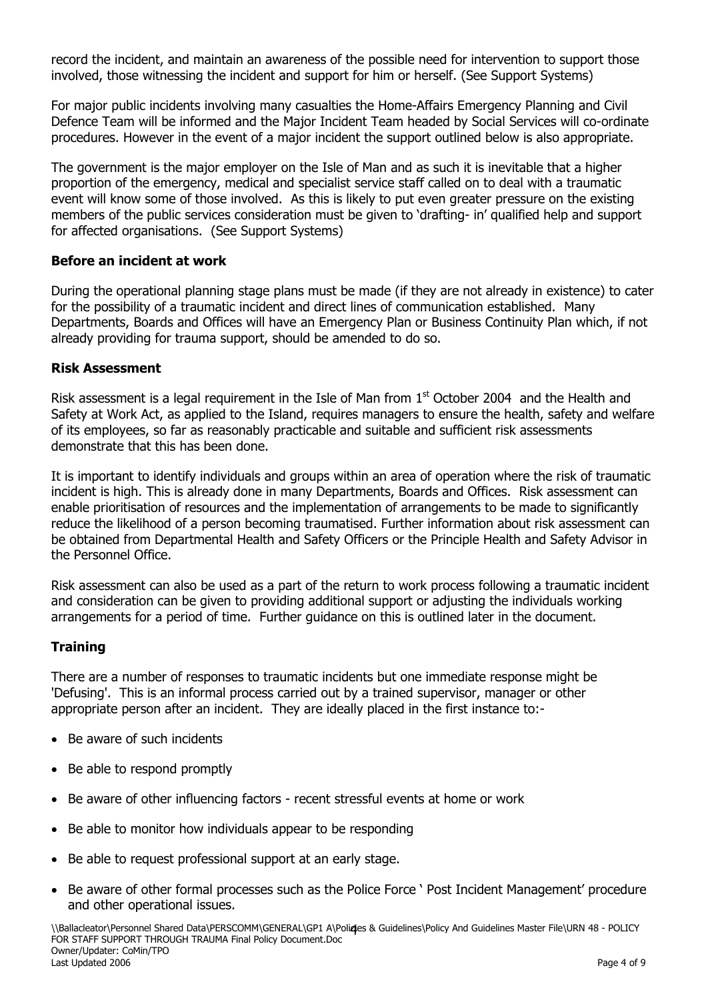record the incident, and maintain an awareness of the possible need for intervention to support those involved, those witnessing the incident and support for him or herself. (See Support Systems)

For major public incidents involving many casualties the Home-Affairs Emergency Planning and Civil Defence Team will be informed and the Major Incident Team headed by Social Services will co-ordinate procedures. However in the event of a major incident the support outlined below is also appropriate.

The government is the major employer on the Isle of Man and as such it is inevitable that a higher proportion of the emergency, medical and specialist service staff called on to deal with a traumatic event will know some of those involved. As this is likely to put even greater pressure on the existing members of the public services consideration must be given to "drafting- in" qualified help and support for affected organisations. (See Support Systems)

#### **Before an incident at work**

During the operational planning stage plans must be made (if they are not already in existence) to cater for the possibility of a traumatic incident and direct lines of communication established. Many Departments, Boards and Offices will have an Emergency Plan or Business Continuity Plan which, if not already providing for trauma support, should be amended to do so.

#### **Risk Assessment**

Risk assessment is a legal requirement in the Isle of Man from  $1<sup>st</sup>$  October 2004 and the Health and Safety at Work Act, as applied to the Island, requires managers to ensure the health, safety and welfare of its employees, so far as reasonably practicable and suitable and sufficient risk assessments demonstrate that this has been done.

It is important to identify individuals and groups within an area of operation where the risk of traumatic incident is high. This is already done in many Departments, Boards and Offices. Risk assessment can enable prioritisation of resources and the implementation of arrangements to be made to significantly reduce the likelihood of a person becoming traumatised. Further information about risk assessment can be obtained from Departmental Health and Safety Officers or the Principle Health and Safety Advisor in the Personnel Office.

Risk assessment can also be used as a part of the return to work process following a traumatic incident and consideration can be given to providing additional support or adjusting the individuals working arrangements for a period of time. Further guidance on this is outlined later in the document.

#### **Training**

There are a number of responses to traumatic incidents but one immediate response might be 'Defusing'. This is an informal process carried out by a trained supervisor, manager or other appropriate person after an incident. They are ideally placed in the first instance to:-

- Be aware of such incidents
- Be able to respond promptly
- Be aware of other influencing factors recent stressful events at home or work
- Be able to monitor how individuals appear to be responding
- Be able to request professional support at an early stage.
- Be aware of other formal processes such as the Police Force ' Post Incident Management' procedure and other operational issues.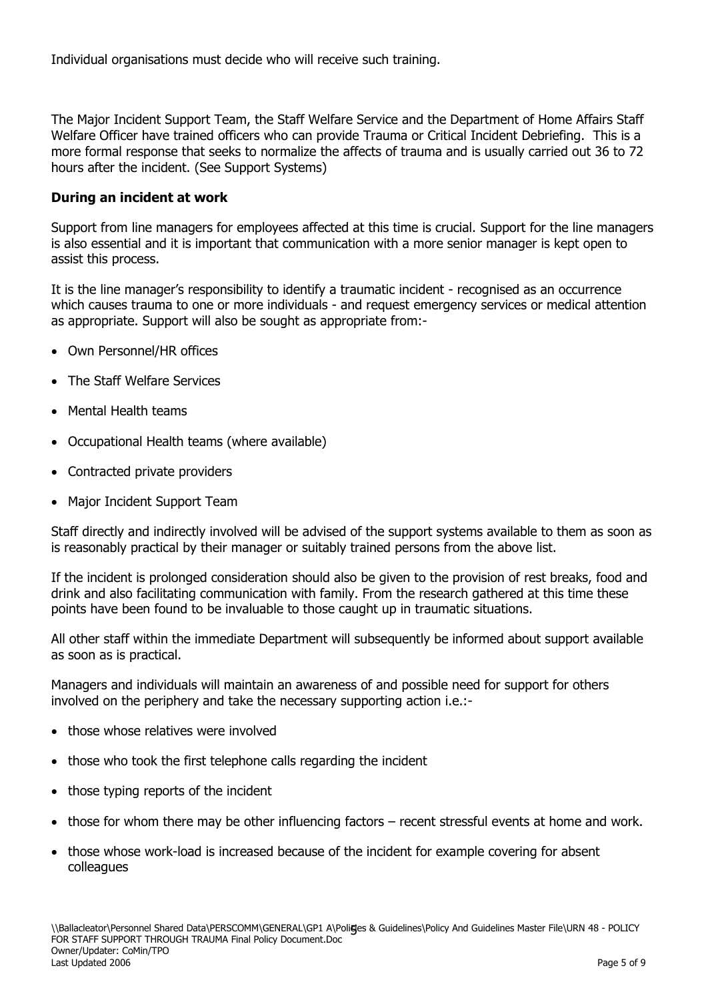Individual organisations must decide who will receive such training.

The Major Incident Support Team, the Staff Welfare Service and the Department of Home Affairs Staff Welfare Officer have trained officers who can provide Trauma or Critical Incident Debriefing. This is a more formal response that seeks to normalize the affects of trauma and is usually carried out 36 to 72 hours after the incident. (See Support Systems)

#### **During an incident at work**

Support from line managers for employees affected at this time is crucial. Support for the line managers is also essential and it is important that communication with a more senior manager is kept open to assist this process.

It is the line manager"s responsibility to identify a traumatic incident - recognised as an occurrence which causes trauma to one or more individuals - and request emergency services or medical attention as appropriate. Support will also be sought as appropriate from:-

- Own Personnel/HR offices
- The Staff Welfare Services
- Mental Health teams
- Occupational Health teams (where available)
- Contracted private providers
- Major Incident Support Team

Staff directly and indirectly involved will be advised of the support systems available to them as soon as is reasonably practical by their manager or suitably trained persons from the above list.

If the incident is prolonged consideration should also be given to the provision of rest breaks, food and drink and also facilitating communication with family. From the research gathered at this time these points have been found to be invaluable to those caught up in traumatic situations.

All other staff within the immediate Department will subsequently be informed about support available as soon as is practical.

Managers and individuals will maintain an awareness of and possible need for support for others involved on the periphery and take the necessary supporting action i.e.:-

- those whose relatives were involved
- those who took the first telephone calls regarding the incident
- those typing reports of the incident
- those for whom there may be other influencing factors recent stressful events at home and work.
- those whose work-load is increased because of the incident for example covering for absent colleagues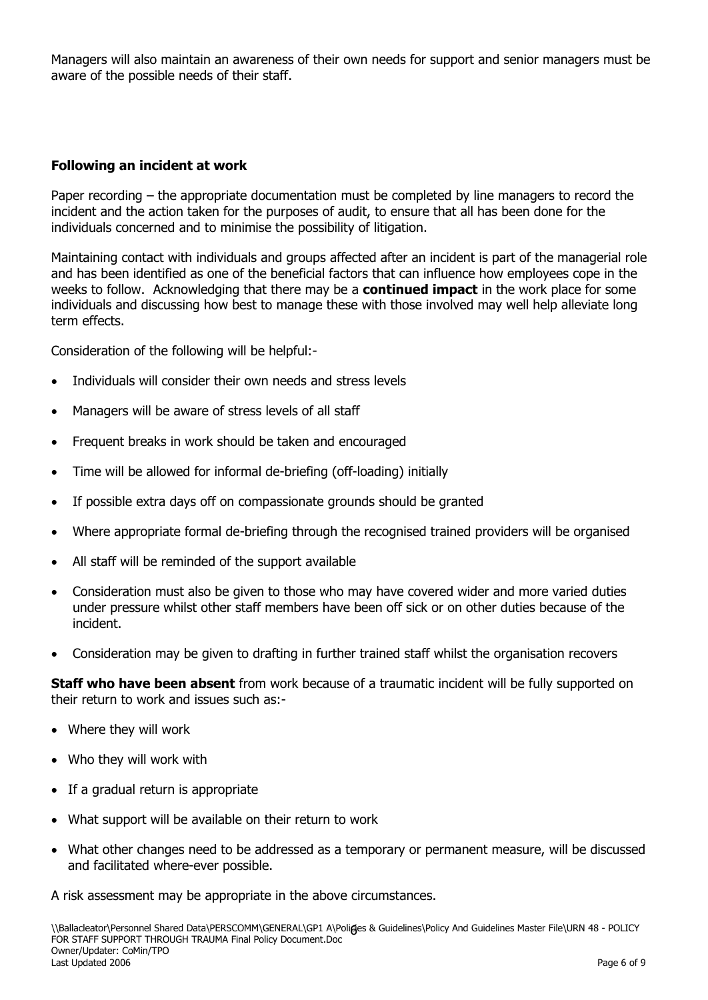Managers will also maintain an awareness of their own needs for support and senior managers must be aware of the possible needs of their staff.

#### **Following an incident at work**

Paper recording – the appropriate documentation must be completed by line managers to record the incident and the action taken for the purposes of audit, to ensure that all has been done for the individuals concerned and to minimise the possibility of litigation.

Maintaining contact with individuals and groups affected after an incident is part of the managerial role and has been identified as one of the beneficial factors that can influence how employees cope in the weeks to follow. Acknowledging that there may be a **continued impact** in the work place for some individuals and discussing how best to manage these with those involved may well help alleviate long term effects.

Consideration of the following will be helpful:-

- Individuals will consider their own needs and stress levels
- Managers will be aware of stress levels of all staff
- Frequent breaks in work should be taken and encouraged
- Time will be allowed for informal de-briefing (off-loading) initially
- If possible extra days off on compassionate grounds should be granted
- Where appropriate formal de-briefing through the recognised trained providers will be organised
- All staff will be reminded of the support available
- Consideration must also be given to those who may have covered wider and more varied duties under pressure whilst other staff members have been off sick or on other duties because of the incident.
- Consideration may be given to drafting in further trained staff whilst the organisation recovers

**Staff who have been absent** from work because of a traumatic incident will be fully supported on their return to work and issues such as:-

- Where they will work
- Who they will work with
- If a gradual return is appropriate
- What support will be available on their return to work
- What other changes need to be addressed as a temporary or permanent measure, will be discussed and facilitated where-ever possible.

A risk assessment may be appropriate in the above circumstances.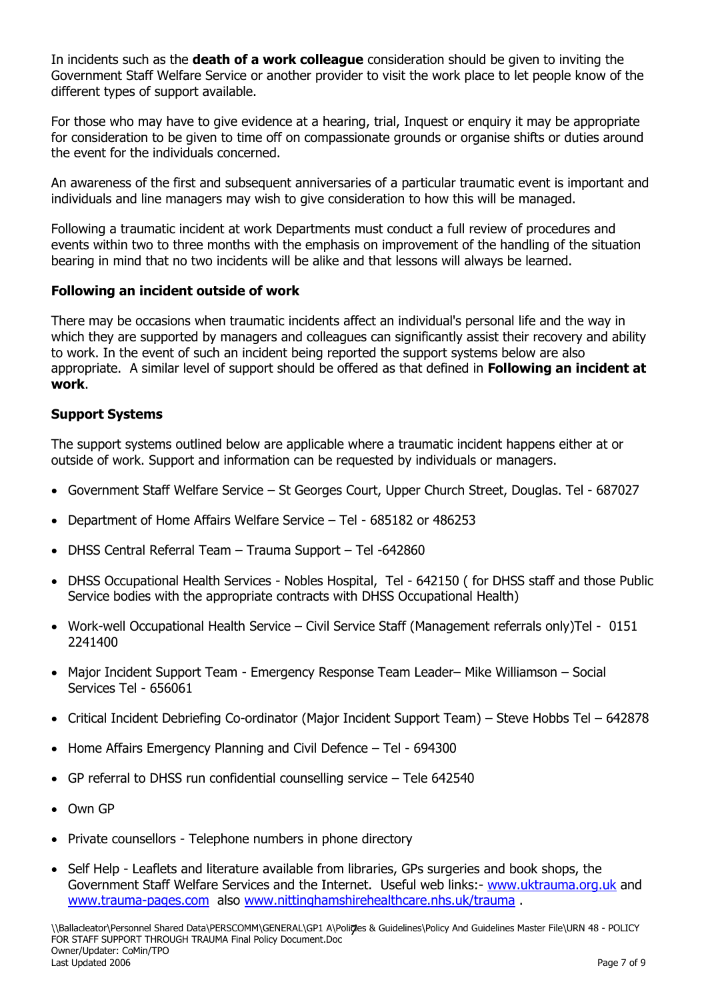In incidents such as the **death of a work colleague** consideration should be given to inviting the Government Staff Welfare Service or another provider to visit the work place to let people know of the different types of support available.

For those who may have to give evidence at a hearing, trial, Inquest or enquiry it may be appropriate for consideration to be given to time off on compassionate grounds or organise shifts or duties around the event for the individuals concerned.

An awareness of the first and subsequent anniversaries of a particular traumatic event is important and individuals and line managers may wish to give consideration to how this will be managed.

Following a traumatic incident at work Departments must conduct a full review of procedures and events within two to three months with the emphasis on improvement of the handling of the situation bearing in mind that no two incidents will be alike and that lessons will always be learned.

## **Following an incident outside of work**

There may be occasions when traumatic incidents affect an individual's personal life and the way in which they are supported by managers and colleagues can significantly assist their recovery and ability to work. In the event of such an incident being reported the support systems below are also appropriate. A similar level of support should be offered as that defined in **Following an incident at work**.

## **Support Systems**

The support systems outlined below are applicable where a traumatic incident happens either at or outside of work. Support and information can be requested by individuals or managers.

- Government Staff Welfare Service St Georges Court, Upper Church Street, Douglas. Tel 687027
- Department of Home Affairs Welfare Service Tel 685182 or 486253
- DHSS Central Referral Team Trauma Support Tel -642860
- DHSS Occupational Health Services Nobles Hospital, Tel 642150 (for DHSS staff and those Public Service bodies with the appropriate contracts with DHSS Occupational Health)
- Work-well Occupational Health Service Civil Service Staff (Management referrals only)Tel 0151 2241400
- Major Incident Support Team Emergency Response Team Leader– Mike Williamson Social Services Tel - 656061
- Critical Incident Debriefing Co-ordinator (Major Incident Support Team) Steve Hobbs Tel 642878
- Home Affairs Emergency Planning and Civil Defence Tel 694300
- GP referral to DHSS run confidential counselling service Tele 642540
- Own GP
- Private counsellors Telephone numbers in phone directory
- Self Help Leaflets and literature available from libraries, GPs surgeries and book shops, the Government Staff Welfare Services and the Internet. Useful web links:- [www.uktrauma.org.uk](http://www.uktrauma.org.uk/) and [www.trauma-pages.com](http://www.trauma-pages.com/) also [www.nittinghamshirehealthcare.nhs.uk/trauma](http://www.nittinghamshirehealthcare.nhs.uk/trauma).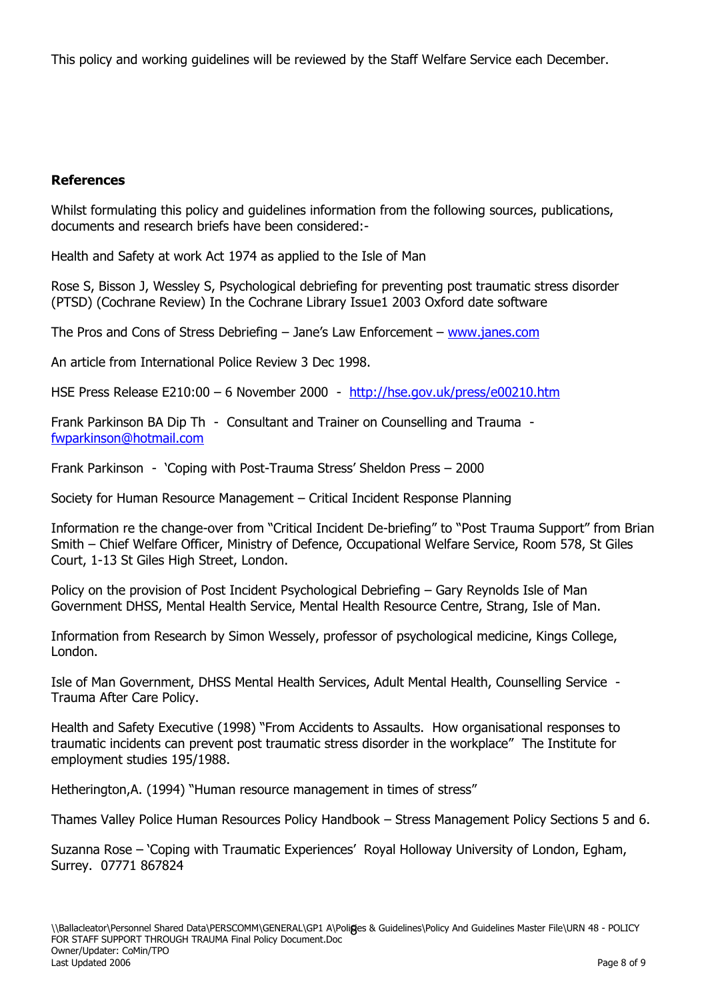This policy and working guidelines will be reviewed by the Staff Welfare Service each December.

## **References**

Whilst formulating this policy and guidelines information from the following sources, publications, documents and research briefs have been considered:-

Health and Safety at work Act 1974 as applied to the Isle of Man

Rose S, Bisson J, Wessley S, Psychological debriefing for preventing post traumatic stress disorder (PTSD) (Cochrane Review) In the Cochrane Library Issue1 2003 Oxford date software

The Pros and Cons of Stress Debriefing – Jane"s Law Enforcement – [www.janes.com](http://www.janes.com/)

An article from International Police Review 3 Dec 1998.

HSE Press Release E210:00 – 6 November 2000 - <http://hse.gov.uk/press/e00210.htm>

Frank Parkinson BA Dip Th - Consultant and Trainer on Counselling and Trauma [fwparkinson@hotmail.com](mailto:fwparkinson@hotmail.com)

Frank Parkinson - "Coping with Post-Trauma Stress" Sheldon Press – 2000

Society for Human Resource Management – Critical Incident Response Planning

Information re the change-over from "Critical Incident De-briefing" to "Post Trauma Support" from Brian Smith – Chief Welfare Officer, Ministry of Defence, Occupational Welfare Service, Room 578, St Giles Court, 1-13 St Giles High Street, London.

Policy on the provision of Post Incident Psychological Debriefing – Gary Reynolds Isle of Man Government DHSS, Mental Health Service, Mental Health Resource Centre, Strang, Isle of Man.

Information from Research by Simon Wessely, professor of psychological medicine, Kings College, London.

Isle of Man Government, DHSS Mental Health Services, Adult Mental Health, Counselling Service - Trauma After Care Policy.

Health and Safety Executive (1998) "From Accidents to Assaults. How organisational responses to traumatic incidents can prevent post traumatic stress disorder in the workplace" The Institute for employment studies 195/1988.

Hetherington,A. (1994) "Human resource management in times of stress"

Thames Valley Police Human Resources Policy Handbook – Stress Management Policy Sections 5 and 6.

Suzanna Rose – 'Coping with Traumatic Experiences' Royal Holloway University of London, Egham, Surrey. 07771 867824